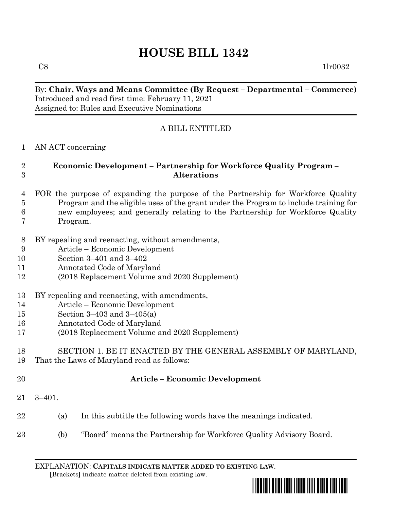# **HOUSE BILL 1342**

 $C8$  1lr0032

#### By: **Chair, Ways and Means Committee (By Request – Departmental – Commerce)** Introduced and read first time: February 11, 2021 Assigned to: Rules and Executive Nominations

## A BILL ENTITLED

#### AN ACT concerning

#### **Economic Development – Partnership for Workforce Quality Program – Alterations**

- FOR the purpose of expanding the purpose of the Partnership for Workforce Quality Program and the eligible uses of the grant under the Program to include training for new employees; and generally relating to the Partnership for Workforce Quality Program.
- BY repealing and reenacting, without amendments,
- Article Economic Development
- Section 3–401 and 3–402
- Annotated Code of Maryland
- (2018 Replacement Volume and 2020 Supplement)
- BY repealing and reenacting, with amendments,
- Article Economic Development
- Section 3–403 and 3–405(a)
- Annotated Code of Maryland
- (2018 Replacement Volume and 2020 Supplement)

# SECTION 1. BE IT ENACTED BY THE GENERAL ASSEMBLY OF MARYLAND,

- That the Laws of Maryland read as follows:
- 

### **Article – Economic Development**

- 3–401.
- (a) In this subtitle the following words have the meanings indicated.
- (b) "Board" means the Partnership for Workforce Quality Advisory Board.

EXPLANATION: **CAPITALS INDICATE MATTER ADDED TO EXISTING LAW**.  **[**Brackets**]** indicate matter deleted from existing law.